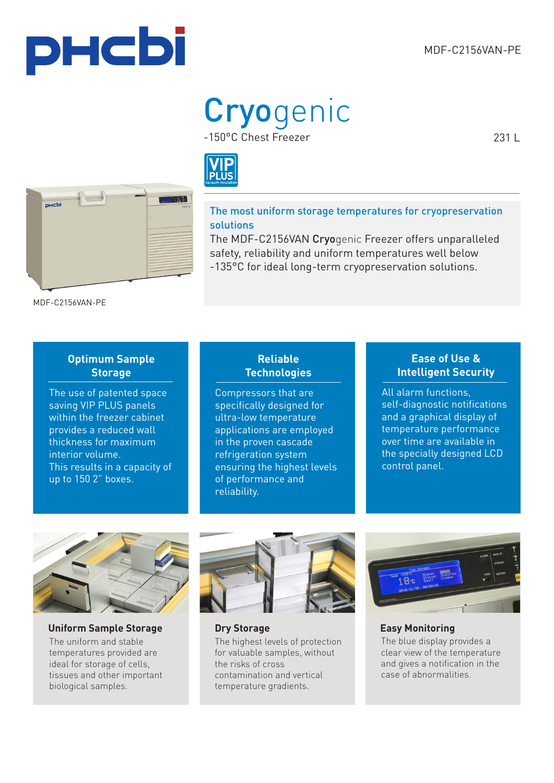

# **Cryogenic**

-150°C Chest Freezer

231 L





The most uniform storage temperatures for cryopreservation solutions

The MDF-C2156VAN Cryogenic Freezer offers unparalleled safety, reliability and uniform temperatures well below -135°C for ideal long-term cryopreservation solutions.

MDF-C2156VAN-PE

## **Optimum Sample Storage**

The use of patented space saving VIP PLUS panels within the freezer cabinet provides a reduced wall thickness for maximum interior volume. This results in a capacity of up to 150 2" boxes.

## **Reliable Technologies**

Compressors that are specifically designed for ultra-low temperature applications are employed in the proven cascade refrigeration system ensuring the highest levels of performance and reliability.

## **Ease of Use & Intelligent Security**

All alarm functions, self-diagnostic notifications and a graphical display of temperature performance over time are available in the specially designed LCD control panel.



**Uniform Sample Storage by Dry Storage** The uniform and stable temperatures provided are ideal for storage of cells, tissues and other important

biological samples.



The highest levels of protection for valuable samples, without the risks of cross contamination and vertical temperature gradients.



**Easy Monitoring** The blue display provides a clear view of the temperature and gives a notification in the case of abnormalities.